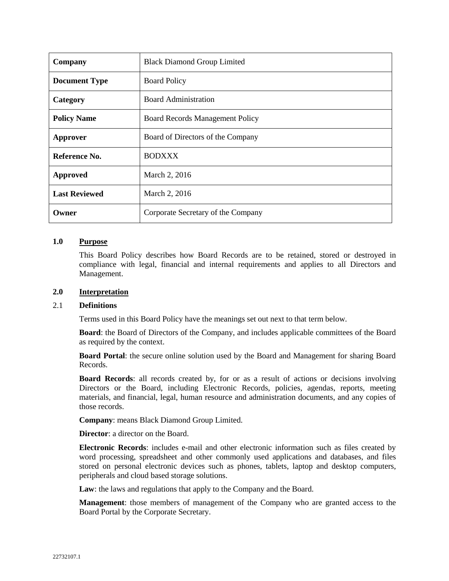| Company              | <b>Black Diamond Group Limited</b>     |  |  |
|----------------------|----------------------------------------|--|--|
| <b>Document Type</b> | <b>Board Policy</b>                    |  |  |
| Category             | <b>Board Administration</b>            |  |  |
| <b>Policy Name</b>   | <b>Board Records Management Policy</b> |  |  |
| Approver             | Board of Directors of the Company      |  |  |
| Reference No.        | <b>BODXXX</b>                          |  |  |
| <b>Approved</b>      | March 2, 2016                          |  |  |
| <b>Last Reviewed</b> | March 2, 2016                          |  |  |
| Owner                | Corporate Secretary of the Company     |  |  |

# **1.0 Purpose**

This Board Policy describes how Board Records are to be retained, stored or destroyed in compliance with legal, financial and internal requirements and applies to all Directors and Management.

#### **2.0 Interpretation**

#### 2.1 **Definitions**

Terms used in this Board Policy have the meanings set out next to that term below.

**Board**: the Board of Directors of the Company, and includes applicable committees of the Board as required by the context.

**Board Portal**: the secure online solution used by the Board and Management for sharing Board Records.

**Board Records**: all records created by, for or as a result of actions or decisions involving Directors or the Board, including Electronic Records, policies, agendas, reports, meeting materials, and financial, legal, human resource and administration documents, and any copies of those records.

**Company**: means Black Diamond Group Limited.

**Director**: a director on the Board.

**Electronic Records**: includes e-mail and other electronic information such as files created by word processing, spreadsheet and other commonly used applications and databases, and files stored on personal electronic devices such as phones, tablets, laptop and desktop computers, peripherals and cloud based storage solutions.

**Law**: the laws and regulations that apply to the Company and the Board.

**Management**: those members of management of the Company who are granted access to the Board Portal by the Corporate Secretary.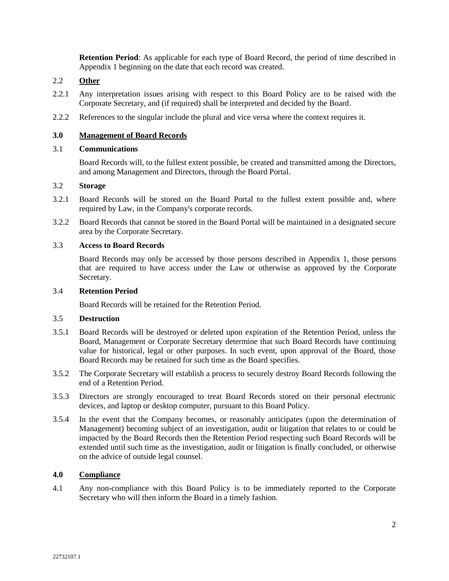**Retention Period**: As applicable for each type of Board Record, the period of time described in Appendix 1 beginning on the date that each record was created.

## 2.2 **Other**

- 2.2.1 Any interpretation issues arising with respect to this Board Policy are to be raised with the Corporate Secretary, and (if required) shall be interpreted and decided by the Board.
- 2.2.2 References to the singular include the plural and vice versa where the context requires it.

### **3.0 Management of Board Records**

#### 3.1 **Communications**

Board Records will, to the fullest extent possible, be created and transmitted among the Directors, and among Management and Directors, through the Board Portal.

## 3.2 **Storage**

- 3.2.1 Board Records will be stored on the Board Portal to the fullest extent possible and, where required by Law, in the Company's corporate records.
- 3.2.2 Board Records that cannot be stored in the Board Portal will be maintained in a designated secure area by the Corporate Secretary.

### 3.3 **Access to Board Records**

Board Records may only be accessed by those persons described in Appendix 1, those persons that are required to have access under the Law or otherwise as approved by the Corporate Secretary.

#### 3.4 **Retention Period**

Board Records will be retained for the Retention Period.

### 3.5 **Destruction**

- 3.5.1 Board Records will be destroyed or deleted upon expiration of the Retention Period, unless the Board, Management or Corporate Secretary determine that such Board Records have continuing value for historical, legal or other purposes. In such event, upon approval of the Board, those Board Records may be retained for such time as the Board specifies.
- 3.5.2 The Corporate Secretary will establish a process to securely destroy Board Records following the end of a Retention Period.
- 3.5.3 Directors are strongly encouraged to treat Board Records stored on their personal electronic devices, and laptop or desktop computer, pursuant to this Board Policy.
- 3.5.4 In the event that the Company becomes, or reasonably anticipates (upon the determination of Management) becoming subject of an investigation, audit or litigation that relates to or could be impacted by the Board Records then the Retention Period respecting such Board Records will be extended until such time as the investigation, audit or litigation is finally concluded, or otherwise on the advice of outside legal counsel.

## **4.0 Compliance**

4.1 Any non-compliance with this Board Policy is to be immediately reported to the Corporate Secretary who will then inform the Board in a timely fashion.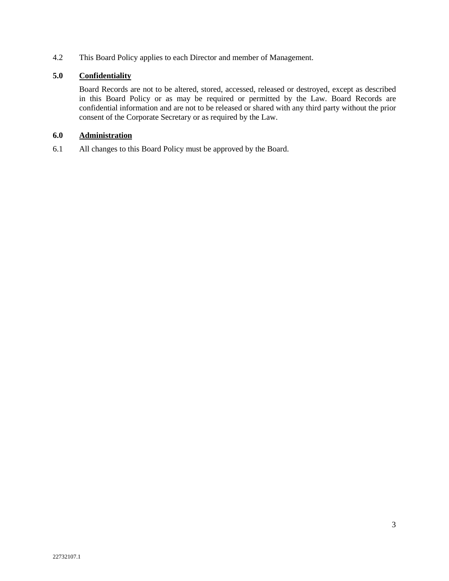4.2 This Board Policy applies to each Director and member of Management.

# **5.0 Confidentiality**

Board Records are not to be altered, stored, accessed, released or destroyed, except as described in this Board Policy or as may be required or permitted by the Law. Board Records are confidential information and are not to be released or shared with any third party without the prior consent of the Corporate Secretary or as required by the Law.

### **6.0 Administration**

6.1 All changes to this Board Policy must be approved by the Board.